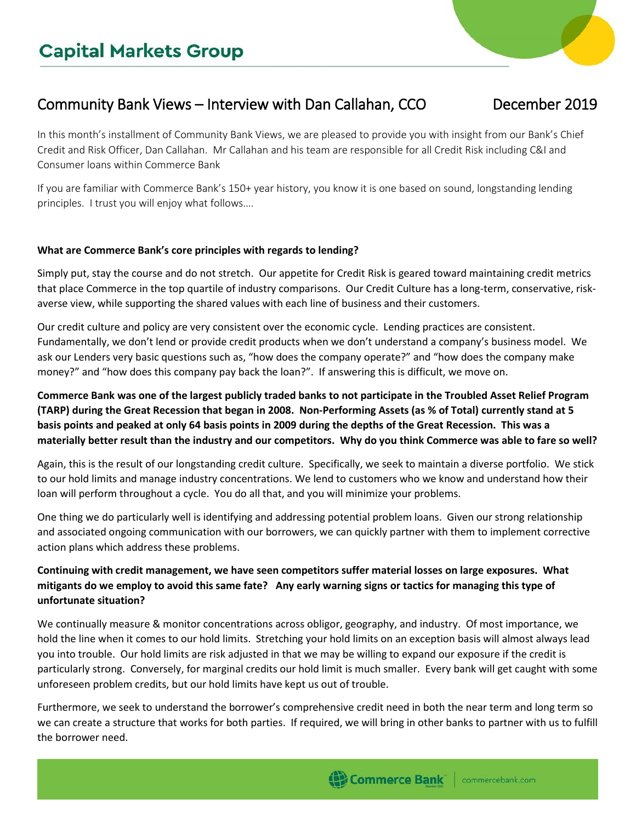# Community Bank Views – Interview with Dan Callahan, CCO December 2019

In this month's installment of Community Bank Views, we are pleased to provide you with insight from our Bank's Chief Credit and Risk Officer, Dan Callahan. Mr Callahan and his team are responsible for all Credit Risk including C&I and Consumer loans within Commerce Bank

If you are familiar with Commerce Bank's 150+ year history, you know it is one based on sound, longstanding lending principles. I trust you will enjoy what follows….

#### **What are Commerce Bank's core principles with regards to lending?**

Simply put, stay the course and do not stretch. Our appetite for Credit Risk is geared toward maintaining credit metrics that place Commerce in the top quartile of industry comparisons. Our Credit Culture has a long-term, conservative, riskaverse view, while supporting the shared values with each line of business and their customers.

Our credit culture and policy are very consistent over the economic cycle. Lending practices are consistent. Fundamentally, we don't lend or provide credit products when we don't understand a company's business model. We ask our Lenders very basic questions such as, "how does the company operate?" and "how does the company make money?" and "how does this company pay back the loan?". If answering this is difficult, we move on.

**Commerce Bank was one of the largest publicly traded banks to not participate in the Troubled Asset Relief Program (TARP) during the Great Recession that began in 2008. Non-Performing Assets (as % of Total) currently stand at 5 basis points and peaked at only 64 basis points in 2009 during the depths of the Great Recession. This was a materially better result than the industry and our competitors. Why do you think Commerce was able to fare so well?**

Again, this is the result of our longstanding credit culture. Specifically, we seek to maintain a diverse portfolio. We stick to our hold limits and manage industry concentrations. We lend to customers who we know and understand how their loan will perform throughout a cycle. You do all that, and you will minimize your problems.

One thing we do particularly well is identifying and addressing potential problem loans. Given our strong relationship and associated ongoing communication with our borrowers, we can quickly partner with them to implement corrective action plans which address these problems.

## **Continuing with credit management, we have seen competitors suffer material losses on large exposures. What mitigants do we employ to avoid this same fate? Any early warning signs or tactics for managing this type of unfortunate situation?**

We continually measure & monitor concentrations across obligor, geography, and industry. Of most importance, we hold the line when it comes to our hold limits. Stretching your hold limits on an exception basis will almost always lead you into trouble. Our hold limits are risk adjusted in that we may be willing to expand our exposure if the credit is particularly strong. Conversely, for marginal credits our hold limit is much smaller. Every bank will get caught with some unforeseen problem credits, but our hold limits have kept us out of trouble.

Furthermore, we seek to understand the borrower's comprehensive credit need in both the near term and long term so we can create a structure that works for both parties. If required, we will bring in other banks to partner with us to fulfill the borrower need.